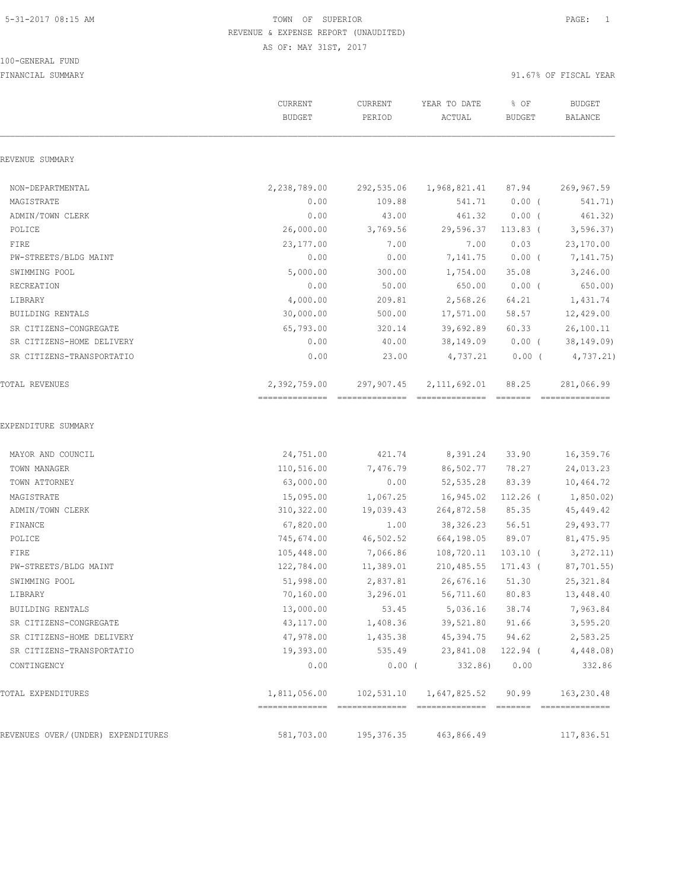#### 100-GENERAL FUND

|                                    | CURRENT<br><b>BUDGET</b>                        | CURRENT<br>PERIOD | YEAR TO DATE<br>ACTUAL            | % OF<br><b>BUDGET</b>                                                                                                                                                                                                                                                                                                                                                                                                                                                                                                                                               | <b>BUDGET</b><br><b>BALANCE</b> |
|------------------------------------|-------------------------------------------------|-------------------|-----------------------------------|---------------------------------------------------------------------------------------------------------------------------------------------------------------------------------------------------------------------------------------------------------------------------------------------------------------------------------------------------------------------------------------------------------------------------------------------------------------------------------------------------------------------------------------------------------------------|---------------------------------|
| REVENUE SUMMARY                    |                                                 |                   |                                   |                                                                                                                                                                                                                                                                                                                                                                                                                                                                                                                                                                     |                                 |
| NON-DEPARTMENTAL                   | 2,238,789.00                                    | 292,535.06        | 1,968,821.41                      | 87.94                                                                                                                                                                                                                                                                                                                                                                                                                                                                                                                                                               | 269,967.59                      |
| MAGISTRATE                         | 0.00                                            | 109.88            | 541.71                            | $0.00$ (                                                                                                                                                                                                                                                                                                                                                                                                                                                                                                                                                            | 541.71)                         |
| ADMIN/TOWN CLERK                   | 0.00                                            | 43.00             | 461.32                            | $0.00$ (                                                                                                                                                                                                                                                                                                                                                                                                                                                                                                                                                            | 461.32)                         |
| POLICE                             | 26,000.00                                       | 3,769.56          | 29,596.37                         | $113.83$ (                                                                                                                                                                                                                                                                                                                                                                                                                                                                                                                                                          | 3, 596.37)                      |
| FIRE                               | 23,177.00                                       | 7.00              | 7.00                              | 0.03                                                                                                                                                                                                                                                                                                                                                                                                                                                                                                                                                                | 23,170.00                       |
| PW-STREETS/BLDG MAINT              | 0.00                                            | 0.00              | 7,141.75                          | $0.00$ (                                                                                                                                                                                                                                                                                                                                                                                                                                                                                                                                                            | 7,141.75)                       |
| SWIMMING POOL                      | 5,000.00                                        | 300.00            | 1,754.00                          | 35.08                                                                                                                                                                                                                                                                                                                                                                                                                                                                                                                                                               | 3,246.00                        |
| RECREATION                         | 0.00                                            | 50.00             | 650.00                            | $0.00$ (                                                                                                                                                                                                                                                                                                                                                                                                                                                                                                                                                            | 650.00)                         |
| LIBRARY                            | 4,000.00                                        | 209.81            | 2,568.26                          | 64.21                                                                                                                                                                                                                                                                                                                                                                                                                                                                                                                                                               | 1,431.74                        |
| BUILDING RENTALS                   | 30,000.00                                       | 500.00            | 17,571.00                         | 58.57                                                                                                                                                                                                                                                                                                                                                                                                                                                                                                                                                               | 12,429.00                       |
| SR CITIZENS-CONGREGATE             | 65,793.00                                       | 320.14            | 39,692.89                         | 60.33                                                                                                                                                                                                                                                                                                                                                                                                                                                                                                                                                               | 26,100.11                       |
| SR CITIZENS-HOME DELIVERY          | 0.00                                            | 40.00             | 38,149.09                         | $0.00$ (                                                                                                                                                                                                                                                                                                                                                                                                                                                                                                                                                            | 38, 149.09                      |
| SR CITIZENS-TRANSPORTATIO          | 0.00                                            | 23.00             | 4,737.21                          | $0.00$ (                                                                                                                                                                                                                                                                                                                                                                                                                                                                                                                                                            | 4,737.21)                       |
| TOTAL REVENUES                     | 2,392,759.00<br>------------------------------- | 297,907.45        | 2, 111, 692.01<br>--------------- | 88.25<br>$\begin{tabular}{ll} \multicolumn{3}{l}{{\color{red}\boldsymbol{=}}} & \multicolumn{3}{l}{\color{blue}\boldsymbol{=}} & \multicolumn{3}{l}{\color{blue}\boldsymbol{=}} & \multicolumn{3}{l}{\color{blue}\boldsymbol{=}} & \multicolumn{3}{l}{\color{blue}\boldsymbol{=}} & \multicolumn{3}{l}{\color{blue}\boldsymbol{=}} & \multicolumn{3}{l}{\color{blue}\boldsymbol{=}} & \multicolumn{3}{l}{\color{blue}\boldsymbol{=}} & \multicolumn{3}{l}{\color{blue}\boldsymbol{=}} & \multicolumn{3}{l}{\color{blue}\boldsymbol{=}} & \multicolumn{3}{l}{\color$ | 281,066.99<br>==============    |
| EXPENDITURE SUMMARY                |                                                 |                   |                                   |                                                                                                                                                                                                                                                                                                                                                                                                                                                                                                                                                                     |                                 |
| MAYOR AND COUNCIL                  | 24,751.00                                       | 421.74            | 8,391.24                          | 33.90                                                                                                                                                                                                                                                                                                                                                                                                                                                                                                                                                               | 16,359.76                       |
| TOWN MANAGER                       | 110,516.00                                      | 7,476.79          | 86,502.77                         | 78.27                                                                                                                                                                                                                                                                                                                                                                                                                                                                                                                                                               | 24,013.23                       |
| TOWN ATTORNEY                      | 63,000.00                                       | 0.00              | 52, 535.28                        | 83.39                                                                                                                                                                                                                                                                                                                                                                                                                                                                                                                                                               | 10,464.72                       |
| MAGISTRATE                         | 15,095.00                                       | 1,067.25          | 16,945.02                         | $112.26$ (                                                                                                                                                                                                                                                                                                                                                                                                                                                                                                                                                          | 1,850.02)                       |
| ADMIN/TOWN CLERK                   | 310, 322.00                                     | 19,039.43         | 264,872.58                        | 85.35                                                                                                                                                                                                                                                                                                                                                                                                                                                                                                                                                               | 45,449.42                       |
| FINANCE                            | 67,820.00                                       | 1.00              | 38, 326.23                        | 56.51                                                                                                                                                                                                                                                                                                                                                                                                                                                                                                                                                               | 29,493.77                       |
| POLICE                             | 745,674.00                                      | 46,502.52         | 664,198.05                        | 89.07                                                                                                                                                                                                                                                                                                                                                                                                                                                                                                                                                               | 81, 475.95                      |
| FIRE                               | 105,448.00                                      | 7,066.86          | 108,720.11                        | $103.10$ (                                                                                                                                                                                                                                                                                                                                                                                                                                                                                                                                                          | 3, 272.11)                      |
| PW-STREETS/BLDG MAINT              | 122,784.00                                      | 11,389.01         | 210,485.55                        | 171.43 (                                                                                                                                                                                                                                                                                                                                                                                                                                                                                                                                                            | 87,701.55)                      |
| SWIMMING POOL                      | 51,998.00                                       | 2,837.81          | 26,676.16                         | 51.30                                                                                                                                                                                                                                                                                                                                                                                                                                                                                                                                                               | 25, 321.84                      |
| LIBRARY                            | 70,160.00                                       | 3,296.01          | 56,711.60                         | 80.83                                                                                                                                                                                                                                                                                                                                                                                                                                                                                                                                                               | 13,448.40                       |
| BUILDING RENTALS                   | 13,000.00                                       | 53.45             | 5,036.16                          | 38.74                                                                                                                                                                                                                                                                                                                                                                                                                                                                                                                                                               | 7,963.84                        |
| SR CITIZENS-CONGREGATE             | 43,117.00                                       | 1,408.36          | 39,521.80                         | 91.66                                                                                                                                                                                                                                                                                                                                                                                                                                                                                                                                                               | 3,595.20                        |
| SR CITIZENS-HOME DELIVERY          | 47,978.00                                       | 1,435.38          | 45,394.75                         | 94.62                                                                                                                                                                                                                                                                                                                                                                                                                                                                                                                                                               | 2,583.25                        |
| SR CITIZENS-TRANSPORTATIO          | 19,393.00                                       | 535.49            | 23,841.08                         | 122.94 (                                                                                                                                                                                                                                                                                                                                                                                                                                                                                                                                                            | 4,448.08                        |
| CONTINGENCY                        | 0.00                                            | $0.00$ (          | 332.86)                           | 0.00                                                                                                                                                                                                                                                                                                                                                                                                                                                                                                                                                                | 332.86                          |
| TOTAL EXPENDITURES                 | 1,811,056.00                                    | 102,531.10        | 1,647,825.52                      | 90.99                                                                                                                                                                                                                                                                                                                                                                                                                                                                                                                                                               | 163,230.48<br>eccccccccc        |
| REVENUES OVER/(UNDER) EXPENDITURES | 581,703.00                                      | 195, 376.35       | 463,866.49                        |                                                                                                                                                                                                                                                                                                                                                                                                                                                                                                                                                                     | 117,836.51                      |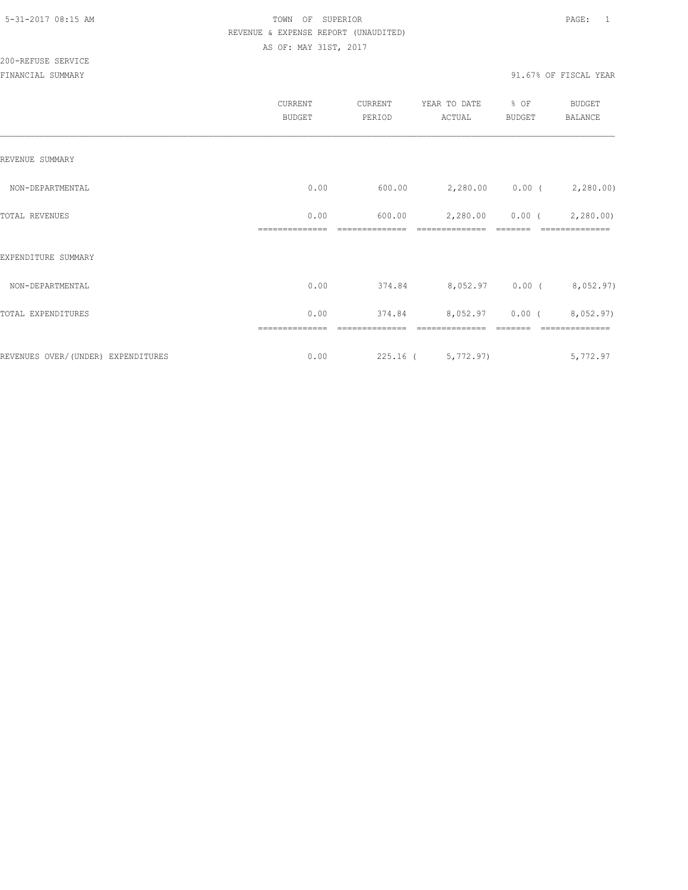|                                    | CURRENT<br><b>BUDGET</b> | CURRENT<br>PERIOD | YEAR TO DATE<br>ACTUAL          | % OF<br><b>BUDGET</b> | BUDGET<br>BALANCE          |
|------------------------------------|--------------------------|-------------------|---------------------------------|-----------------------|----------------------------|
| REVENUE SUMMARY                    |                          |                   |                                 |                       |                            |
| NON-DEPARTMENTAL                   | 0.00                     | 600.00            |                                 |                       | 2,280.00 0.00 (2,280.00)   |
| TOTAL REVENUES                     | 0.00<br>--------------   | 600.00            | 2,280.00<br>--------------      | $0.00$ (<br>-------   | 2,280.00<br>============== |
| EXPENDITURE SUMMARY                |                          |                   |                                 |                       |                            |
| NON-DEPARTMENTAL                   | 0.00                     |                   | 374.84 8,052.97 0.00 (8,052.97) |                       |                            |
| TOTAL EXPENDITURES                 | 0.00                     | 374.84            | 8,052.97 0.00 (8,052.97)        |                       |                            |
| REVENUES OVER/(UNDER) EXPENDITURES | 0.00                     |                   | 225.16 ( 5,772.97)              |                       | 5,772.97                   |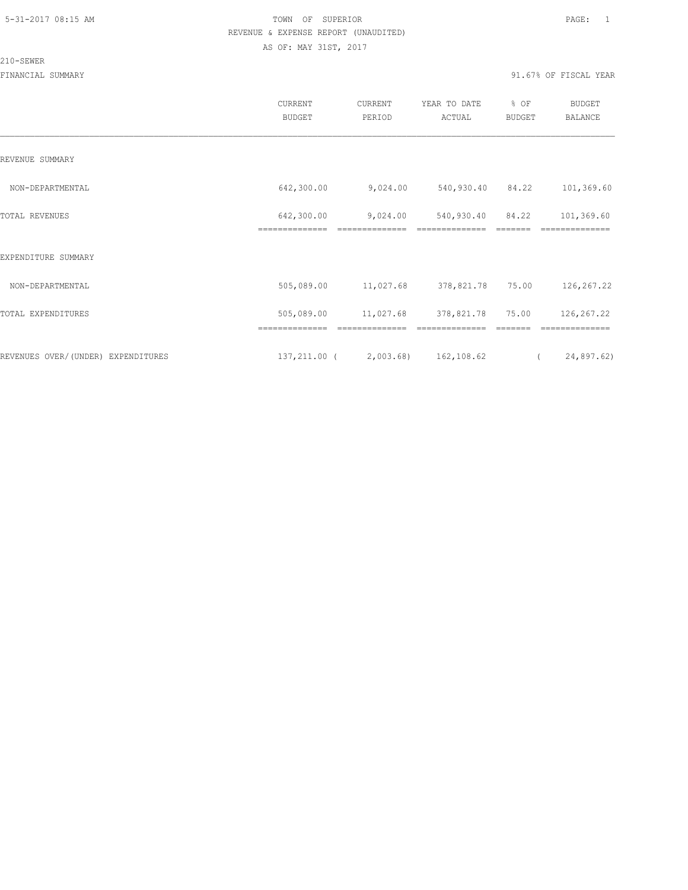#### 210-SEWER

|                                    | CURRENT<br><b>BUDGET</b> | CURRENT<br>PERIOD | YEAR TO DATE<br>ACTUAL               | % OF<br><b>BUDGET</b> | <b>BUDGET</b><br><b>BALANCE</b> |  |
|------------------------------------|--------------------------|-------------------|--------------------------------------|-----------------------|---------------------------------|--|
| REVENUE SUMMARY                    |                          |                   |                                      |                       |                                 |  |
| NON-DEPARTMENTAL                   | 642,300.00               | 9,024.00          | 540,930.40 84.22                     |                       | 101,369.60                      |  |
| TOTAL REVENUES                     | 642,300.00               | 9,024.00          | 540,930.40                           | 84.22                 | 101,369.60                      |  |
| EXPENDITURE SUMMARY                |                          |                   |                                      |                       |                                 |  |
| NON-DEPARTMENTAL                   | 505,089.00               | 11,027.68         | 378,821.78 75.00                     |                       | 126,267.22                      |  |
| TOTAL EXPENDITURES                 | 505,089.00               | 11,027.68         | 378,821.78                           | 75.00                 | 126,267.22                      |  |
| REVENUES OVER/(UNDER) EXPENDITURES |                          |                   | 137, 211.00 ( 2, 003.68) 162, 108.62 | $\sim$ $\sim$ $\sim$  | 24,897.62)                      |  |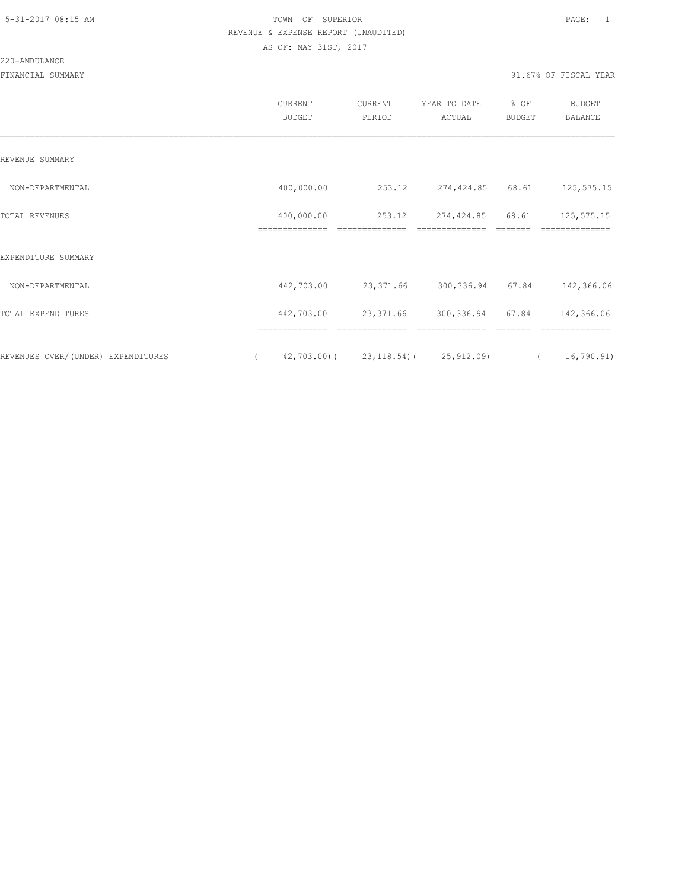#### 220-AMBULANCE

|                                     | CURRENT<br><b>BUDGET</b>     | CURRENT<br>PERIOD                         | YEAR TO DATE<br>ACTUAL       | % OF<br>BUDGET | BUDGET<br><b>BALANCE</b> |  |
|-------------------------------------|------------------------------|-------------------------------------------|------------------------------|----------------|--------------------------|--|
| REVENUE SUMMARY                     |                              |                                           |                              |                |                          |  |
| NON-DEPARTMENTAL                    | 400,000.00                   | 253.12                                    | 274,424.85 68.61             |                | 125, 575. 15             |  |
| TOTAL REVENUES                      | 400,000.00<br>============== | 253.12<br>==============                  | 274,424.85<br>============== | 68.61          | 125, 575. 15             |  |
| EXPENDITURE SUMMARY                 |                              |                                           |                              |                |                          |  |
| NON-DEPARTMENTAL                    | 442,703.00                   | 23,371.66                                 | 300,336.94 67.84             |                | 142,366.06               |  |
| TOTAL EXPENDITURES                  | 442,703.00                   | 23,371.66                                 | 300, 336.94                  | 67.84          | 142,366.06               |  |
|                                     |                              |                                           |                              |                |                          |  |
| REVENUES OVER/ (UNDER) EXPENDITURES |                              | $42,703.00$ ( $23,118.54$ ( $25,912.09$ ) |                              | $\sqrt{2}$     | 16,790.91)               |  |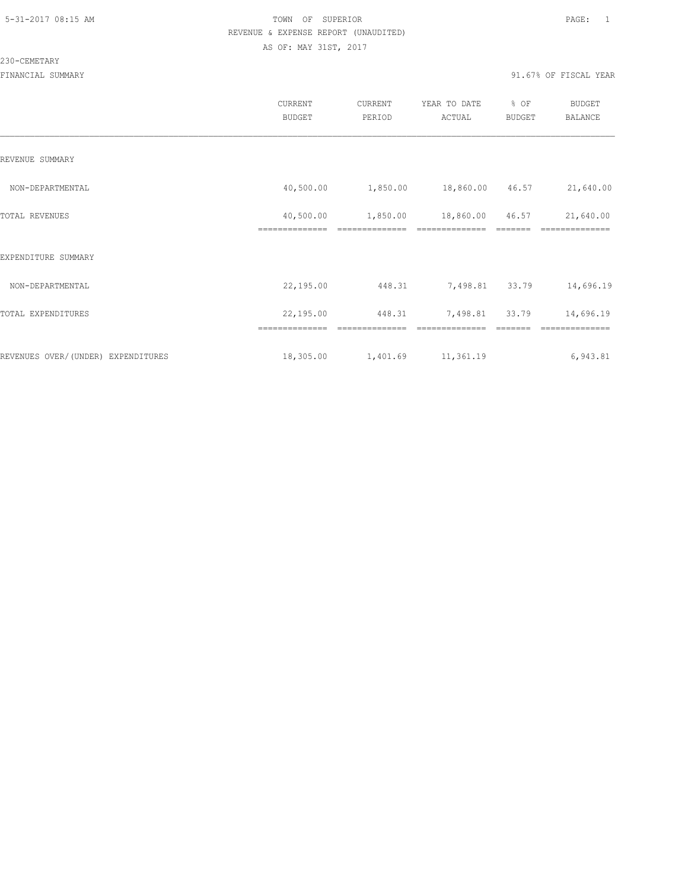#### 230-CEMETARY

|                                    | <b>CURRENT</b><br><b>BUDGET</b> | CURRENT<br>PERIOD | YEAR TO DATE<br>ACTUAL | % OF<br><b>BUDGET</b> | <b>BUDGET</b><br><b>BALANCE</b> |
|------------------------------------|---------------------------------|-------------------|------------------------|-----------------------|---------------------------------|
| REVENUE SUMMARY                    |                                 |                   |                        |                       |                                 |
| NON-DEPARTMENTAL                   | 40,500.00                       | 1,850.00          | 18,860.00 46.57        |                       | 21,640.00                       |
| TOTAL REVENUES                     | 40,500.00                       | 1,850.00          | 18,860.00              | 46.57                 | 21,640.00                       |
| EXPENDITURE SUMMARY                |                                 |                   |                        |                       |                                 |
| NON-DEPARTMENTAL                   | 22,195.00                       | 448.31            | 7,498.81               | 33.79                 | 14,696.19                       |
| TOTAL EXPENDITURES                 | 22,195.00                       | 448.31            | 7,498.81               | 33.79                 | 14,696.19                       |
|                                    | ==============                  | -----------       |                        |                       | ==============                  |
| REVENUES OVER/(UNDER) EXPENDITURES | 18,305.00                       | 1,401.69          | 11,361.19              |                       | 6,943.81                        |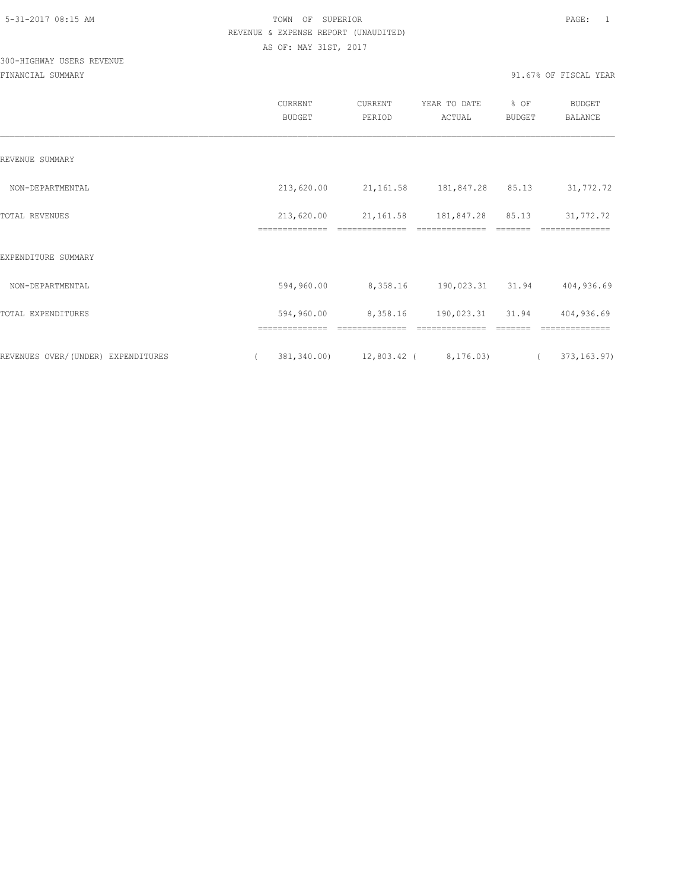# 300-HIGHWAY USERS REVENUE

|                                    | CURRENT<br><b>BUDGET</b> | CURRENT<br>PERIOD                   | YEAR TO DATE<br>ACTUAL | % OF<br><b>BUDGET</b> | <b>BUDGET</b><br><b>BALANCE</b> |
|------------------------------------|--------------------------|-------------------------------------|------------------------|-----------------------|---------------------------------|
| REVENUE SUMMARY                    |                          |                                     |                        |                       |                                 |
| NON-DEPARTMENTAL                   | 213,620.00               | 21, 161.58 181, 847.28 85.13        |                        |                       | 31,772.72                       |
| TOTAL REVENUES                     | 213,620.00               | 21,161.58                           | 181,847.28             | 85.13                 | 31,772.72                       |
| EXPENDITURE SUMMARY                |                          |                                     |                        |                       |                                 |
| NON-DEPARTMENTAL                   | 594,960.00               | 8,358.16                            | 190,023.31 31.94       |                       | 404,936.69                      |
| TOTAL EXPENDITURES                 | 594,960.00               | 8,358.16                            | 190,023.31 31.94       |                       | 404,936.69                      |
|                                    |                          |                                     |                        |                       |                                 |
| REVENUES OVER/(UNDER) EXPENDITURES | $\left($                 | 381,340.00) 12,803.42 ( 8,176.03) ( |                        |                       | 373, 163.97)                    |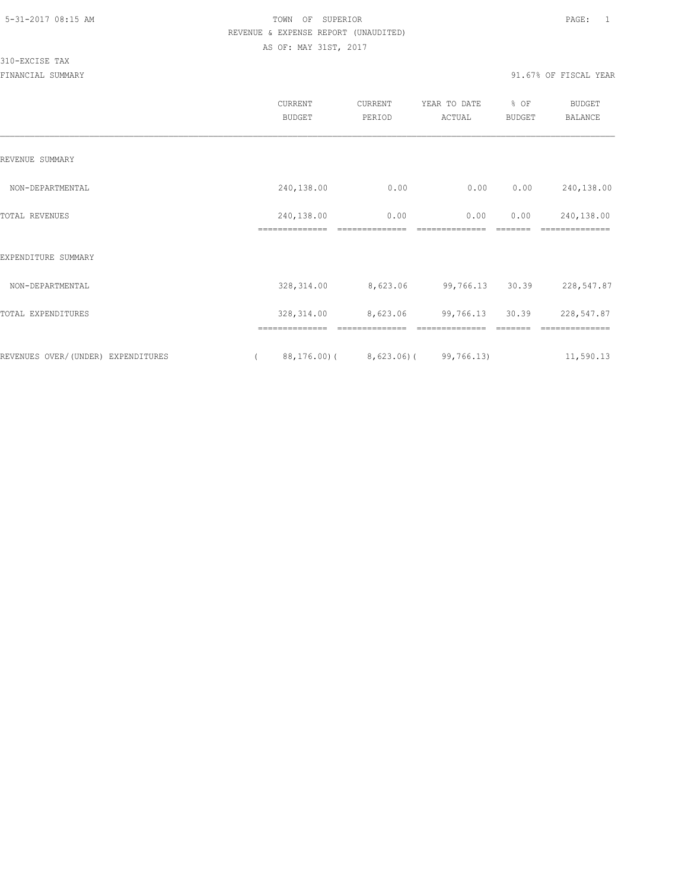|                                    | CURRENT<br><b>BUDGET</b>         | CURRENT<br>PERIOD      | YEAR TO DATE<br>ACTUAL | % OF<br>BUDGET  | BUDGET<br><b>BALANCE</b>     |
|------------------------------------|----------------------------------|------------------------|------------------------|-----------------|------------------------------|
| REVENUE SUMMARY                    |                                  |                        |                        |                 |                              |
| NON-DEPARTMENTAL                   | 240,138.00                       | 0.00                   | 0.00                   | 0.00            | 240,138.00                   |
| TOTAL REVENUES                     | 240,138.00<br>==============     | 0.00<br>============== | 0.00<br>============== | 0.00<br>======= | 240,138.00<br>============== |
| EXPENDITURE SUMMARY                |                                  |                        |                        |                 |                              |
| NON-DEPARTMENTAL                   | 328, 314.00                      | 8,623.06               | 99,766.13              | 30.39           | 228,547.87                   |
| TOTAL EXPENDITURES                 | 328, 314.00                      | 8,623.06               | 99,766.13              | 30.39           | 228,547.87                   |
| REVENUES OVER/(UNDER) EXPENDITURES | ==============<br>$88, 176.00$ ( | $8,623.06$ (           | 99,766.13)             |                 | -------<br>11,590.13         |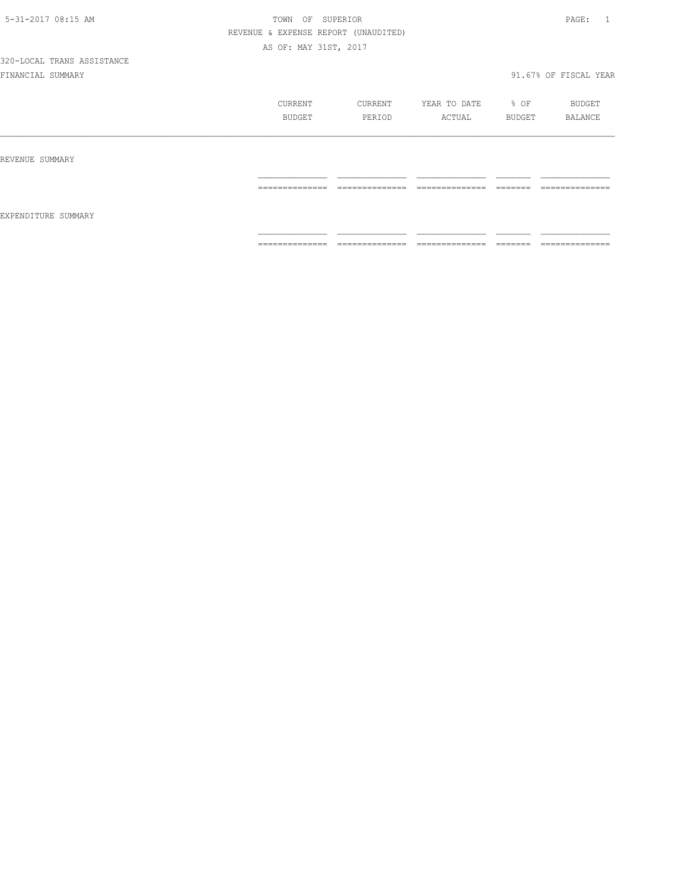|                     | CURRENT<br>BUDGET | CURRENT<br>PERIOD                                              | YEAR TO DATE<br>ACTUAL            | % OF<br>BUDGET      | BUDGET<br>BALANCE                                                                                                                                                                                                                                                                                                                                                                                                                                                                            |
|---------------------|-------------------|----------------------------------------------------------------|-----------------------------------|---------------------|----------------------------------------------------------------------------------------------------------------------------------------------------------------------------------------------------------------------------------------------------------------------------------------------------------------------------------------------------------------------------------------------------------------------------------------------------------------------------------------------|
| REVENUE SUMMARY     | ==============    | ______________<br>مساميات المناسبات المسامين المسامين المسامين | ______________<br>--------------- | _______<br>______   | --------------                                                                                                                                                                                                                                                                                                                                                                                                                                                                               |
| EXPENDITURE SUMMARY | ==============    | ______________<br>مساميات المناسبات المسامين المسامين المسامين | ______________<br>--------------- | ________<br>------- | $\begin{array}{c} \multicolumn{2}{c} {\textbf{1}} & \multicolumn{2}{c} {\textbf{2}} & \multicolumn{2}{c} {\textbf{3}} & \multicolumn{2}{c} {\textbf{4}} \\ \multicolumn{2}{c} {\textbf{5}} & \multicolumn{2}{c} {\textbf{6}} & \multicolumn{2}{c} {\textbf{7}} & \multicolumn{2}{c} {\textbf{8}} & \multicolumn{2}{c} {\textbf{9}} \\ \multicolumn{2}{c} {\textbf{1}} & \multicolumn{2}{c} {\textbf{1}} & \multicolumn{2}{c} {\textbf{1}} & \multicolumn{2}{c} {\textbf{1}} & \multicolumn{$ |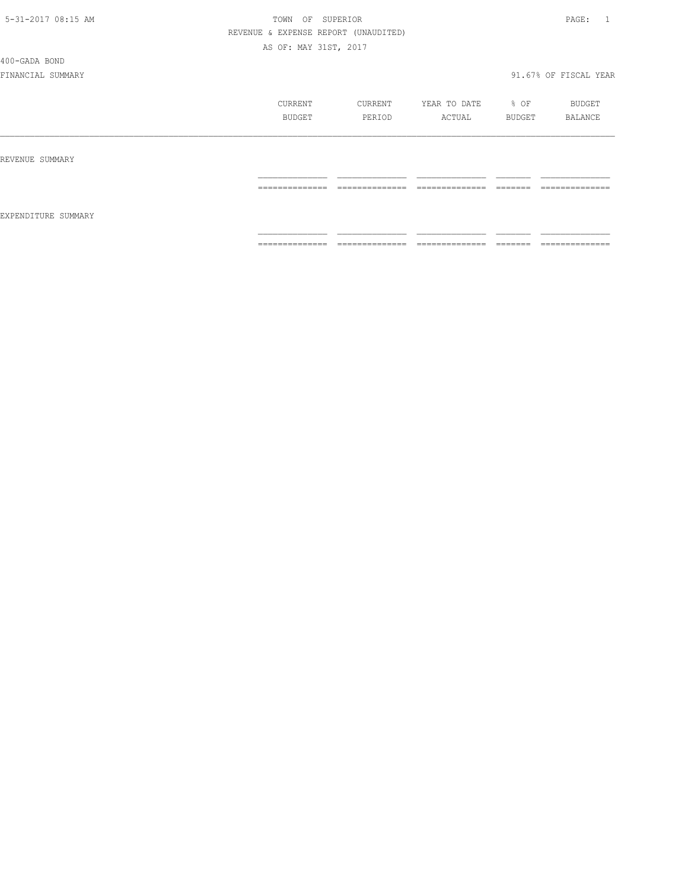400-GADA BOND

|                     | CURRENT<br><b>BUDGET</b> | CURRENT<br>PERIOD                  | YEAR TO DATE<br>ACTUAL | % OF<br>BUDGET | BUDGET<br>BALANCE                 |
|---------------------|--------------------------|------------------------------------|------------------------|----------------|-----------------------------------|
| REVENUE SUMMARY     |                          |                                    |                        |                |                                   |
| EXPENDITURE SUMMARY | ==============           | ---------------<br>_______________ | ==============         | <b>EEEEEE</b>  | --------------<br>--------------- |
|                     | ==============           | ==============                     | ==============         |                | --------------<br>--------------- |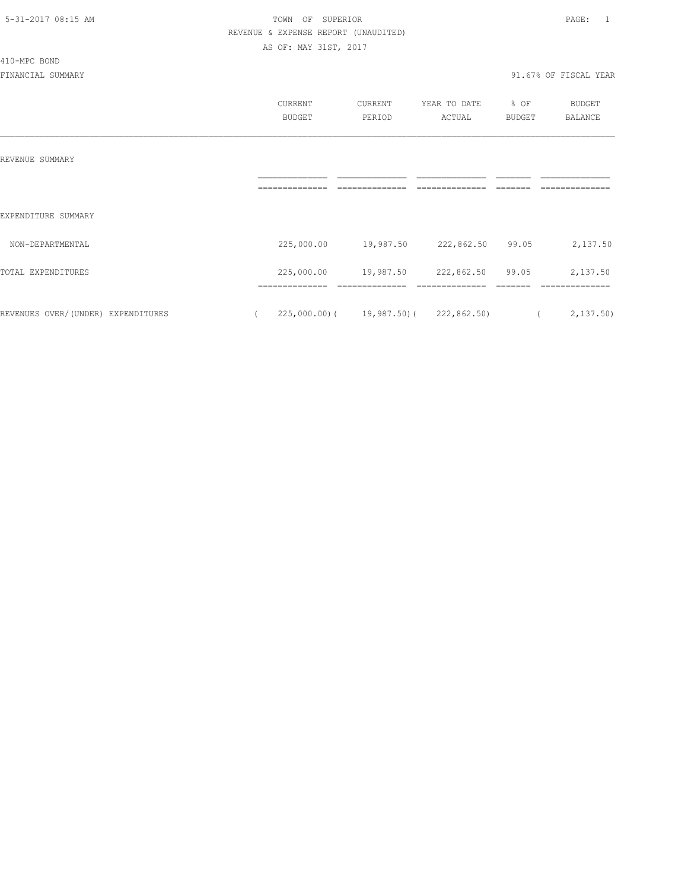410-MPC BOND

#### 5-31-2017 08:15 AM TOWN OF SUPERIOR PAGE: 1 REVENUE & EXPENSE REPORT (UNAUDITED) AS OF: MAY 31ST, 2017

|                                    | CURRENT<br><b>BUDGET</b> | CURRENT<br>PERIOD                       | YEAR TO DATE<br>ACTUAL | % OF<br><b>BUDGET</b> | <b>BUDGET</b><br><b>BALANCE</b> |
|------------------------------------|--------------------------|-----------------------------------------|------------------------|-----------------------|---------------------------------|
| REVENUE SUMMARY                    |                          |                                         |                        |                       |                                 |
| EXPENDITURE SUMMARY                |                          |                                         |                        |                       |                                 |
| NON-DEPARTMENTAL                   | 225,000.00               | 19,987.50                               | 222,862.50             | 99.05                 | 2,137.50                        |
| TOTAL EXPENDITURES                 | 225,000.00               | 19,987.50                               | 222,862.50             | 99.05                 | 2,137.50                        |
| REVENUES OVER/(UNDER) EXPENDITURES |                          | $225,000.00$ ( 19,987.50) ( 222,862.50) |                        | $\overline{a}$        | 2,137.50                        |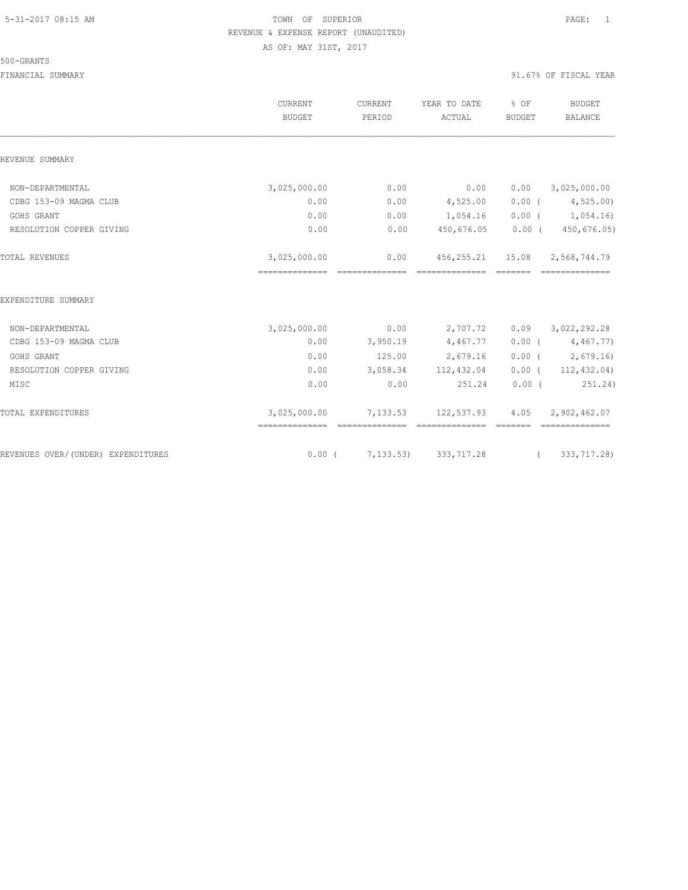#### 500-GRANTS

|                                    | <b>CURRENT</b><br>BUDGET                       | CURRENT<br>PERIOD       | YEAR TO DATE<br>ACTUAL                                 | % OF<br>BUDGET  | <b>BUDGET</b><br>BALANCE       |
|------------------------------------|------------------------------------------------|-------------------------|--------------------------------------------------------|-----------------|--------------------------------|
| REVENUE SUMMARY                    |                                                |                         |                                                        |                 |                                |
| NON-DEPARTMENTAL                   | 3,025,000.00                                   | 0.00                    | 0.00                                                   | 0.00            | 3,025,000.00                   |
| CDBG 153-09 MAGMA CLUB             | 0.00                                           | 0.00                    | 4,525.00                                               | $0.00$ (        | 4,525.00                       |
| GOHS GRANT                         | 0.00                                           | 0.00                    | 1,054.16                                               |                 | $0.00$ ( $1,054.16$ )          |
| RESOLUTION COPPER GIVING           | 0.00                                           | 0.00                    | 450,676.05                                             | $0.00$ (        | 450,676.05)                    |
| TOTAL REVENUES                     | 3,025,000.00                                   | 0.00<br>--------------- | 456, 255, 21 15, 08 2, 568, 744, 79<br>--------------- | <b>CONSIDER</b> |                                |
| EXPENDITURE SUMMARY                |                                                |                         |                                                        |                 |                                |
| NON-DEPARTMENTAL                   | 3,025,000.00                                   | 0.00                    | 2,707.72                                               |                 | $0.09$ $3,022,292.28$          |
| CDBG 153-09 MAGMA CLUB             | 0.00                                           | 3,950.19                | 4,467.77                                               |                 | $0.00$ ( $4,467.77$ )          |
| GOHS GRANT                         | 0.00                                           | 125.00                  | 2,679.16                                               |                 | $0.00$ ( 2,679.16)             |
| RESOLUTION COPPER GIVING           | 0.00                                           |                         | 3,058.34 112,432.04                                    |                 | $0.00$ ( $112,432.04$ )        |
| MISC                               | 0.00                                           | 0.00                    | 251.24                                                 | $0.00$ (        | 251.24)                        |
| TOTAL EXPENDITURES                 | 3,025,000.00<br>============================== |                         | 7, 133.53 122, 537.93<br>---------------               | 4.05<br>------- | 2,902,462.07<br>-------------- |
| REVENUES OVER/(UNDER) EXPENDITURES |                                                |                         | $0.00$ ( $7,133.53$ ) 333, 717.28                      | $\overline{a}$  | 333,717.28)                    |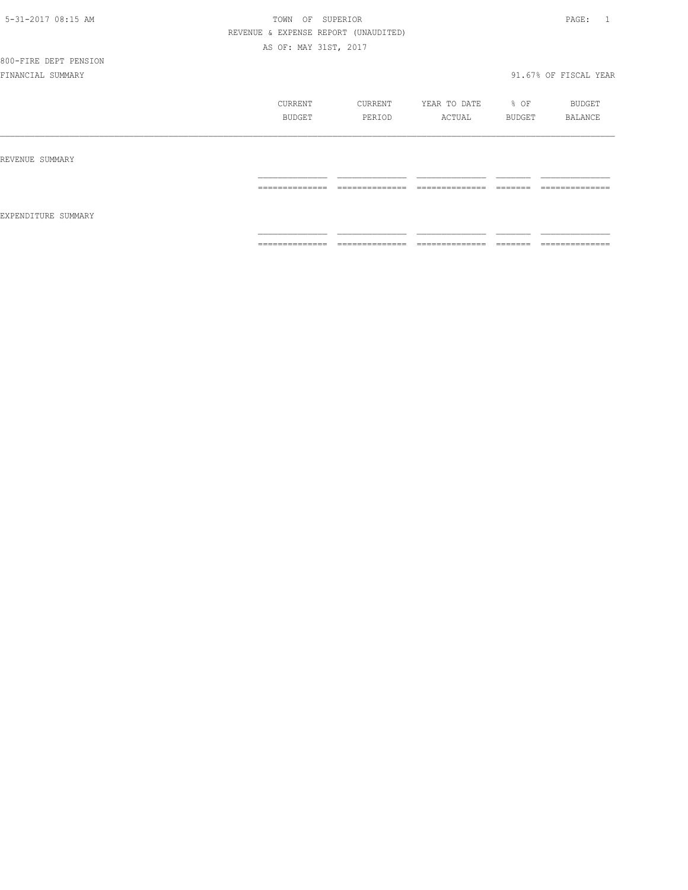# 800-FIRE DEPT PENSION

|                     | CURRENT<br>BUDGET    | CURRENT<br>PERIOD                | YEAR TO DATE<br>ACTUAL             | % OF<br>BUDGET       | BUDGET<br>BALANCE                 |
|---------------------|----------------------|----------------------------------|------------------------------------|----------------------|-----------------------------------|
| REVENUE SUMMARY     | ==============       | ______________                   | ______________                     | --------             | ==============                    |
| EXPENDITURE SUMMARY |                      | -------------                    | -------------                      | ------               |                                   |
|                     | ---------------<br>. | --------------<br>______________ | ---------------<br>_______________ | --------<br>________ | --------------<br>_______________ |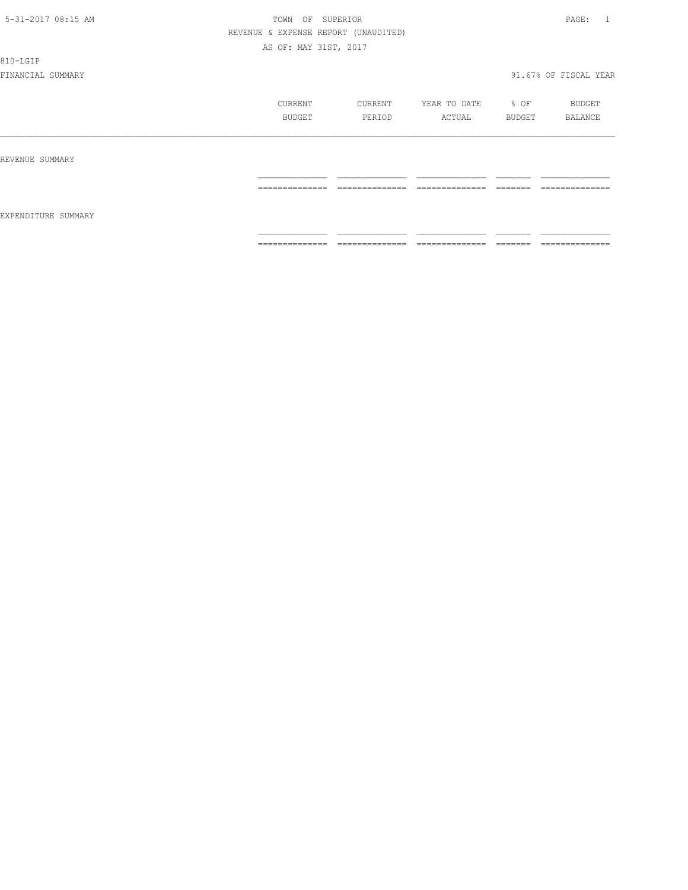810-LGIP

|                     | CURRENT<br>BUDGET                                                                                                                                                                                                                                                                                                                                                                                                                                                                      | CURRENT<br>PERIOD                 | YEAR TO DATE<br>ACTUAL                                                                                                                                                                                                                                                                                                                                                                                                                                                                       | % OF<br>BUDGET      | BUDGET<br>BALANCE                  |
|---------------------|----------------------------------------------------------------------------------------------------------------------------------------------------------------------------------------------------------------------------------------------------------------------------------------------------------------------------------------------------------------------------------------------------------------------------------------------------------------------------------------|-----------------------------------|----------------------------------------------------------------------------------------------------------------------------------------------------------------------------------------------------------------------------------------------------------------------------------------------------------------------------------------------------------------------------------------------------------------------------------------------------------------------------------------------|---------------------|------------------------------------|
| REVENUE SUMMARY     |                                                                                                                                                                                                                                                                                                                                                                                                                                                                                        |                                   |                                                                                                                                                                                                                                                                                                                                                                                                                                                                                              |                     |                                    |
|                     | ______________<br>----------------                                                                                                                                                                                                                                                                                                                                                                                                                                                     | ______________<br>-------------   | ______________<br>_______________                                                                                                                                                                                                                                                                                                                                                                                                                                                            | --------<br>------- | ______________<br>---------------  |
| EXPENDITURE SUMMARY |                                                                                                                                                                                                                                                                                                                                                                                                                                                                                        |                                   |                                                                                                                                                                                                                                                                                                                                                                                                                                                                                              |                     |                                    |
|                     | $\begin{array}{cccccccccc} \multicolumn{2}{c}{} & \multicolumn{2}{c}{} & \multicolumn{2}{c}{} & \multicolumn{2}{c}{} & \multicolumn{2}{c}{} & \multicolumn{2}{c}{} & \multicolumn{2}{c}{} & \multicolumn{2}{c}{} & \multicolumn{2}{c}{} & \multicolumn{2}{c}{} & \multicolumn{2}{c}{} & \multicolumn{2}{c}{} & \multicolumn{2}{c}{} & \multicolumn{2}{c}{} & \multicolumn{2}{c}{} & \multicolumn{2}{c}{} & \multicolumn{2}{c}{} & \multicolumn{2}{c}{} & \multicolumn{2}{c}{} & \mult$ | ______________<br>--------------- | $\begin{array}{c} \multicolumn{2}{c} {\textbf{1}} & \multicolumn{2}{c} {\textbf{2}} & \multicolumn{2}{c} {\textbf{3}} & \multicolumn{2}{c} {\textbf{4}} \\ \multicolumn{2}{c} {\textbf{2}} & \multicolumn{2}{c} {\textbf{3}} & \multicolumn{2}{c} {\textbf{4}} & \multicolumn{2}{c} {\textbf{5}} & \multicolumn{2}{c} {\textbf{6}} \\ \multicolumn{2}{c} {\textbf{5}} & \multicolumn{2}{c} {\textbf{6}} & \multicolumn{2}{c} {\textbf{7}} & \multicolumn{2}{c} {\textbf{8}} & \multicolumn{$ |                     | ______________<br>---------------- |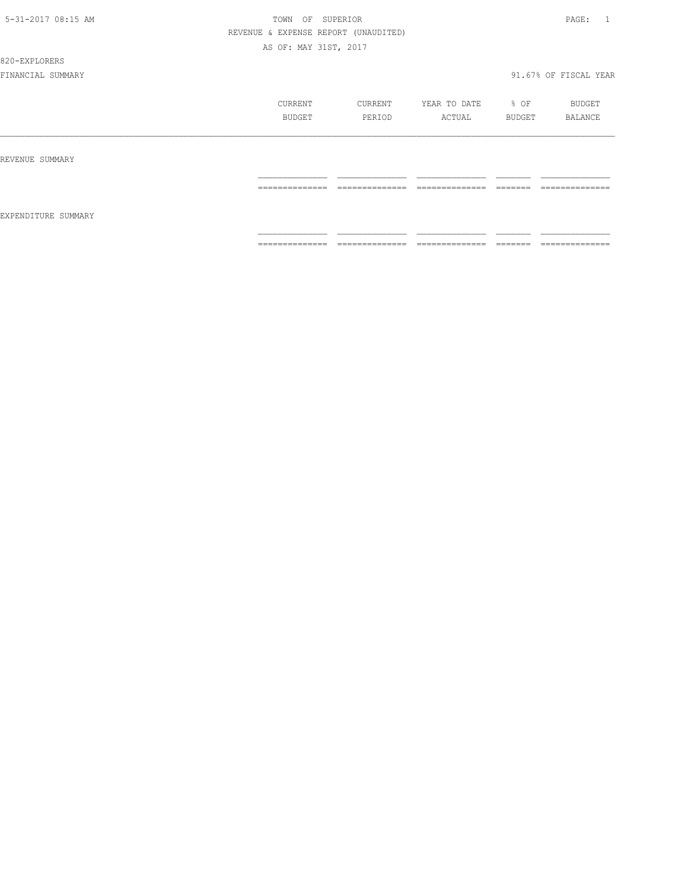820-EXPLORERS

|                     | CURRENT<br><b>BUDGET</b> | CURRENT<br>PERIOD                  | YEAR TO DATE<br>ACTUAL | % OF<br>BUDGET | BUDGET<br>BALANCE                 |
|---------------------|--------------------------|------------------------------------|------------------------|----------------|-----------------------------------|
| REVENUE SUMMARY     |                          |                                    |                        |                |                                   |
| EXPENDITURE SUMMARY | ==============           | ---------------<br>_______________ | ==============         | <b>EEEEEE</b>  | --------------<br>--------------- |
|                     | ==============           | ==============                     | ==============         |                | --------------<br>--------------- |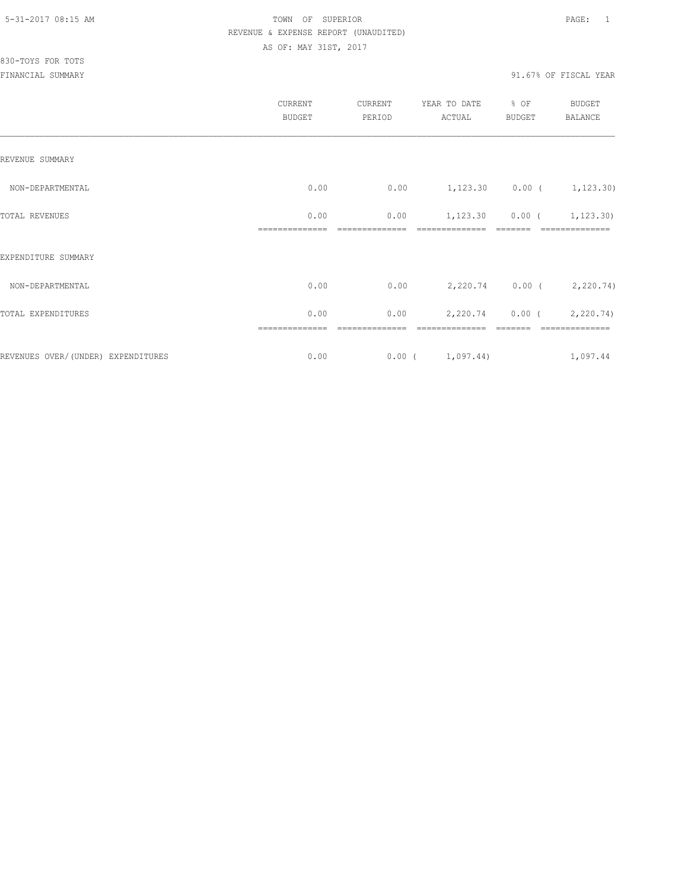|                                    | CURRENT<br><b>BUDGET</b> | CURRENT<br>PERIOD | YEAR TO DATE<br>ACTUAL                   | % OF<br><b>BUDGET</b> | BUDGET<br>BALANCE                               |
|------------------------------------|--------------------------|-------------------|------------------------------------------|-----------------------|-------------------------------------------------|
| REVENUE SUMMARY                    |                          |                   |                                          |                       |                                                 |
| NON-DEPARTMENTAL                   | 0.00                     |                   | $0.00$ $1,123.30$ $0.00$ $($ $1,123.30)$ |                       |                                                 |
| TOTAL REVENUES                     | 0.00<br>--------------   | 0.00              | --------------                           | --------              | $1, 123.30$ 0.00 ( 1, 123.30)<br>-------------- |
| EXPENDITURE SUMMARY                |                          |                   |                                          |                       |                                                 |
| NON-DEPARTMENTAL                   | 0.00                     | 0.00              |                                          |                       | 2,220.74 0.00 ( 2,220.74)                       |
| TOTAL EXPENDITURES                 | 0.00                     | 0.00              |                                          |                       | 2,220.74 0.00 (2,220.74)                        |
| REVENUES OVER/(UNDER) EXPENDITURES | 0.00                     |                   | $0.00$ ( $1,097.44$ )                    |                       | 1,097.44                                        |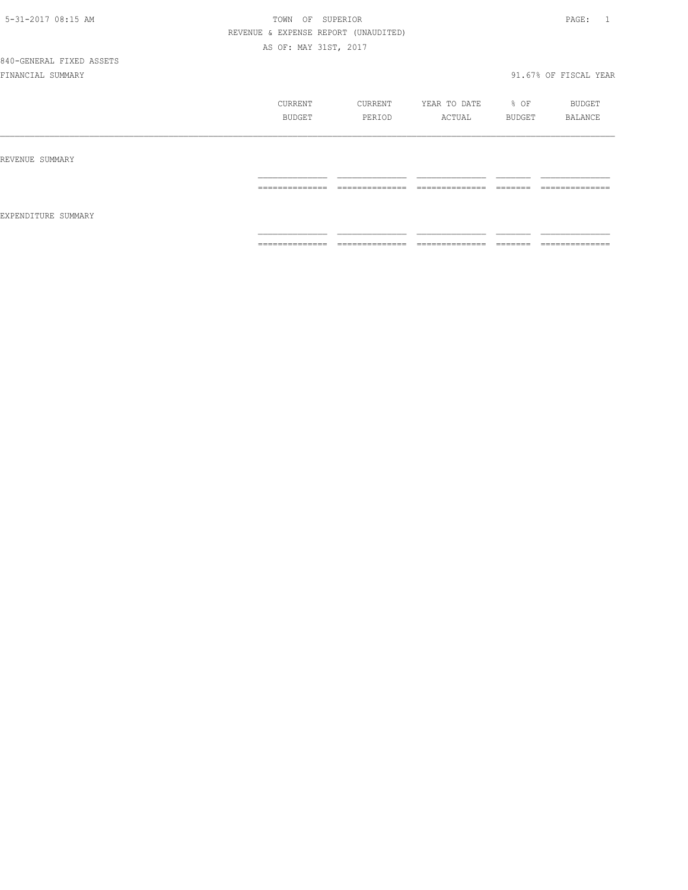|                     | CURRENT<br>BUDGET   | CURRENT<br>PERIOD   | YEAR TO DATE<br>ACTUAL            | % OF<br>BUDGET      | BUDGET<br>BALANCE                 |
|---------------------|---------------------|---------------------|-----------------------------------|---------------------|-----------------------------------|
| REVENUE SUMMARY     |                     |                     |                                   |                     |                                   |
| EXPENDITURE SUMMARY | --------------<br>. | --------------<br>. | --------------<br>_______________ | -------<br>________ | ---------------<br>______________ |
|                     | ==============      | ==============      | ==============                    | =======             | ==============                    |